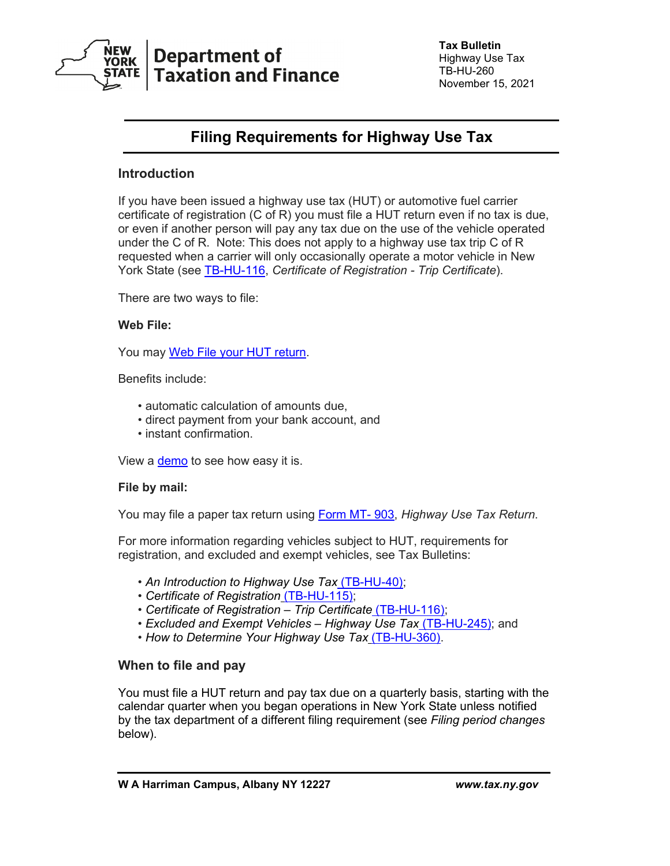

# **Department of Taxation and Finance**

**Tax Bulletin** Highway Use Tax TB-HU-260 November 15, 2021

## **Filing Requirements for Highway Use Tax**

### **Introduction**

If you have been issued a highway use tax (HUT) or automotive fuel carrier certificate of registration (C of R) you must file a HUT return even if no tax is due, or even if another person will pay any tax due on the use of the vehicle operated under the C of R. Note: This does not apply to a highway use tax trip C of R requested when a carrier will only occasionally operate a motor vehicle in New York State (see [TB-HU-116,](https://www.tax.ny.gov/pubs_and_bulls/tg_bulletins/hut/cor_trip_certificate.htm) *Certificate of Registration - Trip Certificate*).

There are two ways to file:

#### **Web File:**

You may [Web File your HUT return.](https://www.tax.ny.gov/bus/hut/webfile.htm)

Benefits include:

- automatic calculation of amounts due,
- direct payment from your bank account, and
- instant confirmation.

View a [demo](https://www.tax.ny.gov/e-services/otc/demos/hutweb/hutdemo.htm) to see how easy it is.

#### **File by mail:**

You may file a paper tax return using [Form MT-](https://www.tax.ny.gov/pdf/current_forms/motor/mt903mn_fill_in.pdf) 903, *Highway Use Tax Return*.

For more information regarding vehicles subject to HUT, requirements for registration, and excluded and exempt vehicles, see Tax Bulletins:

- *[An Introduction to Highway Use Tax](https://www.tax.ny.gov/pubs_and_bulls/tg_bulletins/hut/introduction.htm)* (TB-HU-40);
- *[Certificate of Registration](https://www.tax.ny.gov/pubs_and_bulls/tg_bulletins/hut/certificate_of_registration.htm)* (TB-HU-115);
- *[Certificate of Registration –](https://www.tax.ny.gov/pubs_and_bulls/tg_bulletins/hut/cor_trip_certificate.htm) Trip Certificate* (TB-HU-116);
- *[Excluded and Exempt Vehicles –](https://www.tax.ny.gov/pubs_and_bulls/tg_bulletins/hut/excluded_and_exempt_vehicles.htm) Highway Use Tax* (TB-HU-245); and
- *[How to Determine Your Highway Use Tax](https://www.tax.ny.gov/pubs_and_bulls/tg_bulletins/hut/how_to_determine_tax.htm)* (TB-HU-360).

#### **When to file and pay**

You must file a HUT return and pay tax due on a quarterly basis, starting with the calendar quarter when you began operations in New York State unless notified by the tax department of a different filing requirement (see *Filing period changes* below).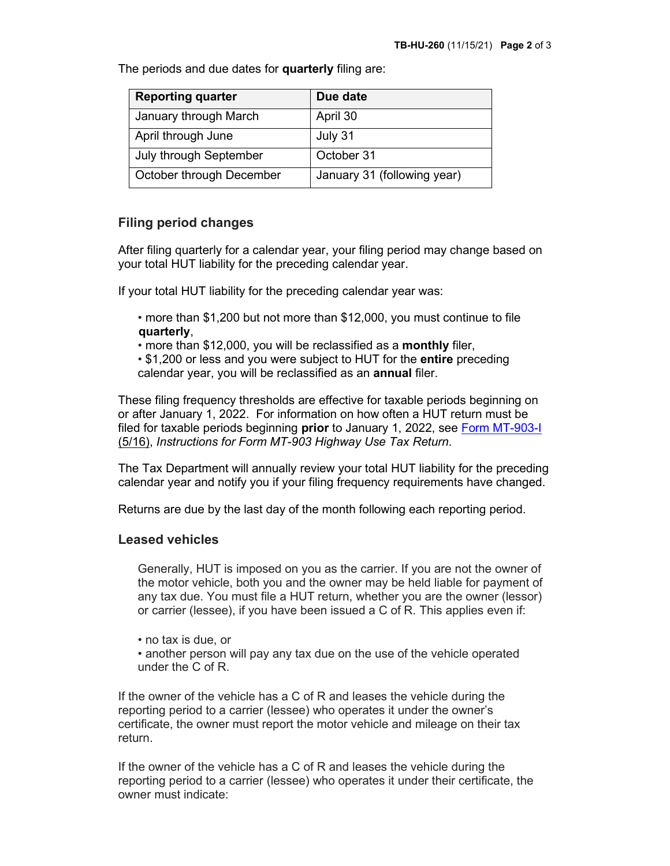The periods and due dates for **quarterly** filing are:

| <b>Reporting quarter</b> | Due date                    |
|--------------------------|-----------------------------|
| January through March    | April 30                    |
| April through June       | July 31                     |
| July through September   | October 31                  |
| October through December | January 31 (following year) |

#### **Filing period changes**

After filing quarterly for a calendar year, your filing period may change based on your total HUT liability for the preceding calendar year.

If your total HUT liability for the preceding calendar year was:

- more than \$1,200 but not more than \$12,000, you must continue to file **quarterly**,
- more than \$12,000, you will be reclassified as a **monthly** filer,
- \$1,200 or less and you were subject to HUT for the **entire** preceding calendar year, you will be reclassified as an **annual** filer.

These filing frequency thresholds are effective for taxable periods beginning on or after January 1, 2022. For information on how often a HUT return must be filed for taxable periods beginning **prior** to January 1, 2022, see [Form MT-903-I](https://www.tax.ny.gov/pdf/2016/motor/mt903i_516.pdf) (5/16), *Instructions for Form MT-903 Highway Use Tax Return*.

The Tax Department will annually review your total HUT liability for the preceding calendar year and notify you if your filing frequency requirements have changed.

Returns are due by the last day of the month following each reporting period.

#### **Leased vehicles**

Generally, HUT is imposed on you as the carrier. If you are not the owner of the motor vehicle, both you and the owner may be held liable for payment of any tax due. You must file a HUT return, whether you are the owner (lessor) or carrier (lessee), if you have been issued a C of R. This applies even if:

- no tax is due, or
- another person will pay any tax due on the use of the vehicle operated under the C of R.

If the owner of the vehicle has a C of R and leases the vehicle during the reporting period to a carrier (lessee) who operates it under the owner's certificate, the owner must report the motor vehicle and mileage on their tax return.

If the owner of the vehicle has a C of R and leases the vehicle during the reporting period to a carrier (lessee) who operates it under their certificate, the owner must indicate: